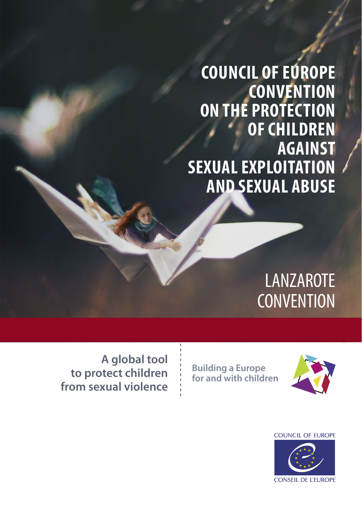**COUNCIL OF EUROPE CONVENTION ON THE PROTECTION OF CHILDREN AGAINST SEXUAL EXPLOITATION AND SEXUAL ABUSE**

# LANZAROTE **CONVENTION**

**A global tool to protect children from sexual violence**

**Building a Europe for and with children**



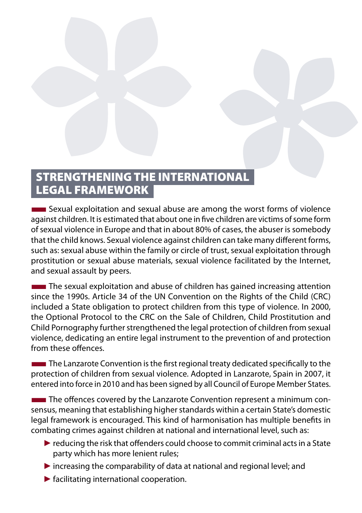# STRENGTHENING THE INTERNATIONAL LEGAL FRAMEWORK

**EXECUTE:** Sexual exploitation and sexual abuse are among the worst forms of violence against children. It is estimated that about one in five children are victims of some form of sexual violence in Europe and that in about 80% of cases, the abuser is somebody that the child knows. Sexual violence against children can take many different forms, such as: sexual abuse within the family or circle of trust, sexual exploitation through prostitution or sexual abuse materials, sexual violence facilitated by the Internet, and sexual assault by peers.

**The sexual exploitation and abuse of children has gained increasing attention** since the 1990s. Article 34 of the UN Convention on the Rights of the Child (CRC) included a State obligation to protect children from this type of violence. In 2000, the Optional Protocol to the CRC on the Sale of Children, Child Prostitution and Child Pornography further strengthened the legal protection of children from sexual violence, dedicating an entire legal instrument to the prevention of and protection from these offences.

**The Lanzarote Convention is the first regional treaty dedicated specifically to the** protection of children from sexual violence. Adopted in Lanzarote, Spain in 2007, it entered into force in 2010 and has been signed by all Council of Europe Member States.

**The offences covered by the Lanzarote Convention represent a minimum con**sensus, meaning that establishing higher standards within a certain State's domestic legal framework is encouraged. This kind of harmonisation has multiple benefits in combating crimes against children at national and international level, such as:

- $\blacktriangleright$  reducing the risk that offenders could choose to commit criminal acts in a State party which has more lenient rules;
- ►increasing the comparability of data at national and regional level; and
- ►facilitating international cooperation.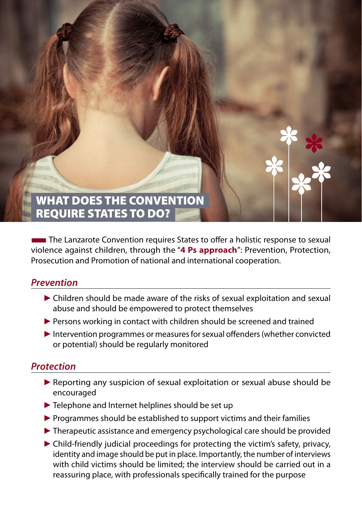# WHAT DOES THE CONVENTION REQUIRE STATES TO DO?

■The Lanzarote Convention requires States to offer a holistic response to sexual violence against children, through the "**4 Ps approach**": Prevention, Protection, Prosecution and Promotion of national and international cooperation.

#### *Prevention*

- ► Children should be made aware of the risks of sexual exploitation and sexual abuse and should be empowered to protect themselves
- ▶ Persons working in contact with children should be screened and trained
- ►Intervention programmes or measures for sexual offenders (whether convicted or potential) should be regularly monitored

#### *Protection*

- ► Reporting any suspicion of sexual exploitation or sexual abuse should be encouraged
- ▶ Telephone and Internet helplines should be set up
- ▶ Programmes should be established to support victims and their families
- ►Therapeutic assistance and emergency psychological care should be provided
- ►Child-friendly judicial proceedings for protecting the victim's safety, privacy, identity and image should be put in place. Importantly, the number of interviews with child victims should be limited; the interview should be carried out in a reassuring place, with professionals specifically trained for the purpose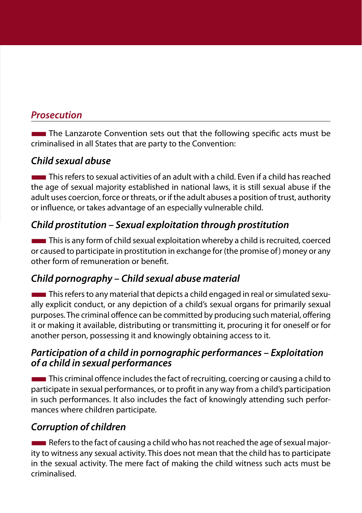#### *Prosecution*

The Lanzarote Convention sets out that the following specific acts must be criminalised in all States that are party to the Convention:

## *Child sexual abuse*

■This refers to sexual activities of an adult with a child. Even if a child has reached the age of sexual majority established in national laws, it is still sexual abuse if the adult uses coercion, force or threats, or if the adult abuses a position of trust, authority or influence, or takes advantage of an especially vulnerable child.

## *Child prostitution – Sexual exploitation through prostitution*

**This is any form of child sexual exploitation whereby a child is recruited, coerced** or caused to participate in prostitution in exchange for (the promise of) money or any other form of remuneration or benefit.

## *Child pornography – Child sexual abuse material*

**This refers to any material that depicts a child engaged in real or simulated sexu**ally explicit conduct, or any depiction of a child's sexual organs for primarily sexual purposes. The criminal offence can be committed by producing such material, offering it or making it available, distributing or transmitting it, procuring it for oneself or for another person, possessing it and knowingly obtaining access to it.

#### *Participation of a child in pornographic performances – Exploitation of a child in sexual performances*

This criminal offence includes the fact of recruiting, coercing or causing a child to participate in sexual performances, or to profit in any way from a child's participation in such performances. It also includes the fact of knowingly attending such performances where children participate.

## *Corruption of children*

**EXECUTE:** Refers to the fact of causing a child who has not reached the age of sexual majority to witness any sexual activity. This does not mean that the child has to participate in the sexual activity. The mere fact of making the child witness such acts must be criminalised.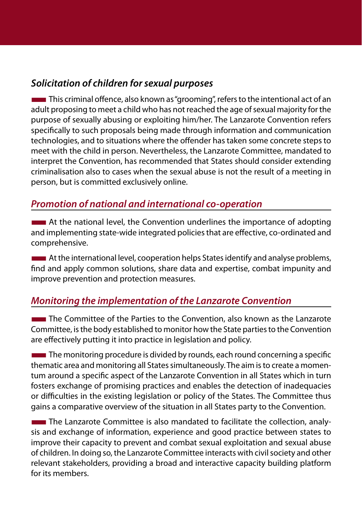#### *Solicitation of children for sexual purposes*

**This criminal offence, also known as "grooming", refers to the intentional act of an** adult proposing to meet a child who has not reached the age of sexual majority for the purpose of sexually abusing or exploiting him/her. The Lanzarote Convention refers specifically to such proposals being made through information and communication technologies, and to situations where the offender has taken some concrete steps to meet with the child in person. Nevertheless, the Lanzarote Committee, mandated to interpret the Convention, has recommended that States should consider extending criminalisation also to cases when the sexual abuse is not the result of a meeting in person, but is committed exclusively online.

#### *Promotion of national and international co-operation*

**EXECUTE:** At the national level, the Convention underlines the importance of adopting and implementing state‐wide integrated policies that are effective, co-ordinated and comprehensive.

**THE At the international level, cooperation helps States identify and analyse problems,** find and apply common solutions, share data and expertise, combat impunity and improve prevention and protection measures.

#### *Monitoring the implementation of the Lanzarote Convention*

**THE COMMITTEE OF THE PARTIES TO THE CONVENTION, also known as the Lanzarote** Committee, is the body established to monitor how the State parties to the Convention are effectively putting it into practice in legislation and policy.

The monitoring procedure is divided by rounds, each round concerning a specific thematic area and monitoring all States simultaneously. The aim is to create a momentum around a specific aspect of the Lanzarote Convention in all States which in turn fosters exchange of promising practices and enables the detection of inadequacies or difficulties in the existing legislation or policy of the States. The Committee thus gains a comparative overview of the situation in all States party to the Convention.

**The Lanzarote Committee is also mandated to facilitate the collection, analy**sis and exchange of information, experience and good practice between states to improve their capacity to prevent and combat sexual exploitation and sexual abuse of children. In doing so, the Lanzarote Committee interacts with civil society and other relevant stakeholders, providing a broad and interactive capacity building platform for its members.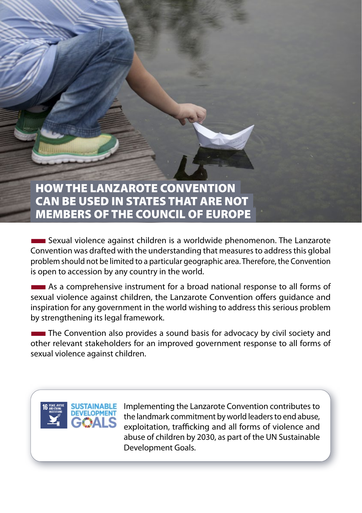# HOW THE LANZAROTE CONVENTION CAN BE USED IN STATES THAT ARE NOT MEMBERS OF THE COUNCIL OF EUROPE

■Sexual violence against children is a worldwide phenomenon. The Lanzarote Convention was drafted with the understanding that measures to address this global problem should not be limited to a particular geographic area. Therefore, the Convention is open to accession by any country in the world.

■As a comprehensive instrument for a broad national response to all forms of sexual violence against children, the Lanzarote Convention offers guidance and inspiration for any government in the world wishing to address this serious problem by strengthening its legal framework.

The Convention also provides a sound basis for advocacy by civil society and other relevant stakeholders for an improved government response to all forms of sexual violence against children.



 Implementing the Lanzarote Convention contributes to the landmark commitment by world leaders to end abuse, exploitation, trafficking and all forms of violence and abuse of children by 2030, as part of the UN Sustainable Development Goals.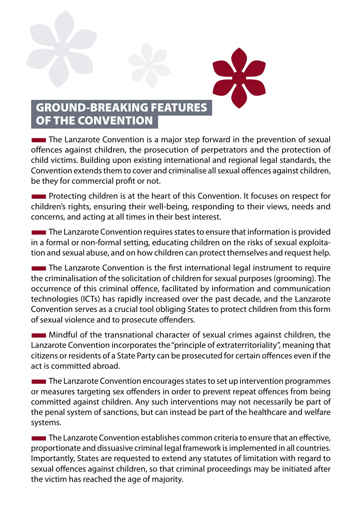

# GROUND-BREAKING FEATURES OF THE CONVENTION

**The Lanzarote Convention is a major step forward in the prevention of sexual** offences against children, the prosecution of perpetrators and the protection of child victims. Building upon existing international and regional legal standards, the Convention extends them to cover and criminalise all sexual offences against children, be they for commercial profit or not.

**EXECUTE:** Protecting children is at the heart of this Convention. It focuses on respect for children's rights, ensuring their well-being, responding to their views, needs and concerns, and acting at all times in their best interest.

**The Lanzarote Convention requires states to ensure that information is provided** in a formal or non-formal setting, educating children on the risks of sexual exploitation and sexual abuse, and on how children can protect themselves and request help.

**The Lanzarote Convention is the first international legal instrument to require** the criminalisation of the solicitation of children for sexual purposes (grooming). The occurrence of this criminal offence, facilitated by information and communication technologies (ICTs) has rapidly increased over the past decade, and the Lanzarote Convention serves as a crucial tool obliging States to protect children from this form of sexual violence and to prosecute offenders.

■Mindful of the transnational character of sexual crimes against children, the Lanzarote Convention incorporates the "principle of extraterritoriality", meaning that citizens or residents of a State Party can be prosecuted for certain offences even if the act is committed abroad.

 $\blacksquare$  The Lanzarote Convention encourages states to set up intervention programmes or measures targeting sex offenders in order to prevent repeat offences from being committed against children. Any such interventions may not necessarily be part of the penal system of sanctions, but can instead be part of the healthcare and welfare systems.

 $\blacksquare$  The Lanzarote Convention establishes common criteria to ensure that an effective, proportionate and dissuasive criminal legal framework is implemented in all countries. Importantly, States are requested to extend any statutes of limitation with regard to sexual offences against children, so that criminal proceedings may be initiated after the victim has reached the age of majority.